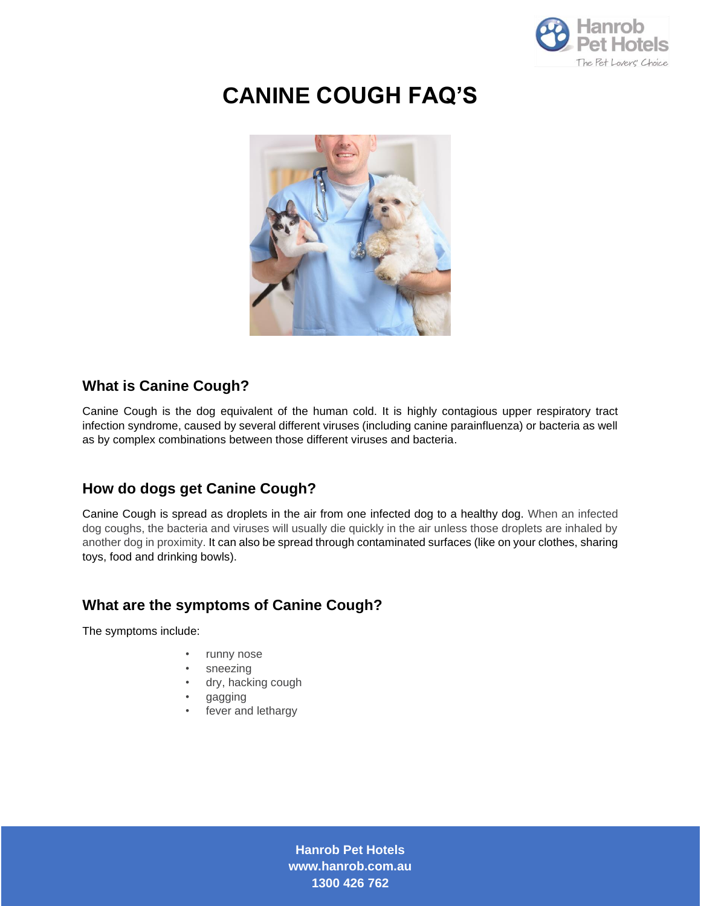

# **CANINE COUGH FAQ'S**



## **What is Canine Cough?**

Canine Cough is the dog equivalent of the human cold. It is highly contagious upper respiratory tract infection syndrome, caused by several different viruses (including canine parainfluenza) or bacteria as well as by complex combinations between those different viruses and bacteria.

# **How do dogs get Canine Cough?**

Canine Cough is spread as droplets in the air from one infected dog to a healthy dog. When an infected dog coughs, the bacteria and viruses will usually die quickly in the air unless those droplets are inhaled by another dog in proximity. It can also be spread through contaminated surfaces (like on your clothes, sharing toys, food and drinking bowls).

# **What are the symptoms of Canine Cough?**

The symptoms include:

- runny nose
- sneezing
- dry, hacking cough
- gagging
- fever and lethargy

**Hanrob Pet Hotels www.hanrob.com.au 1300 426 762**